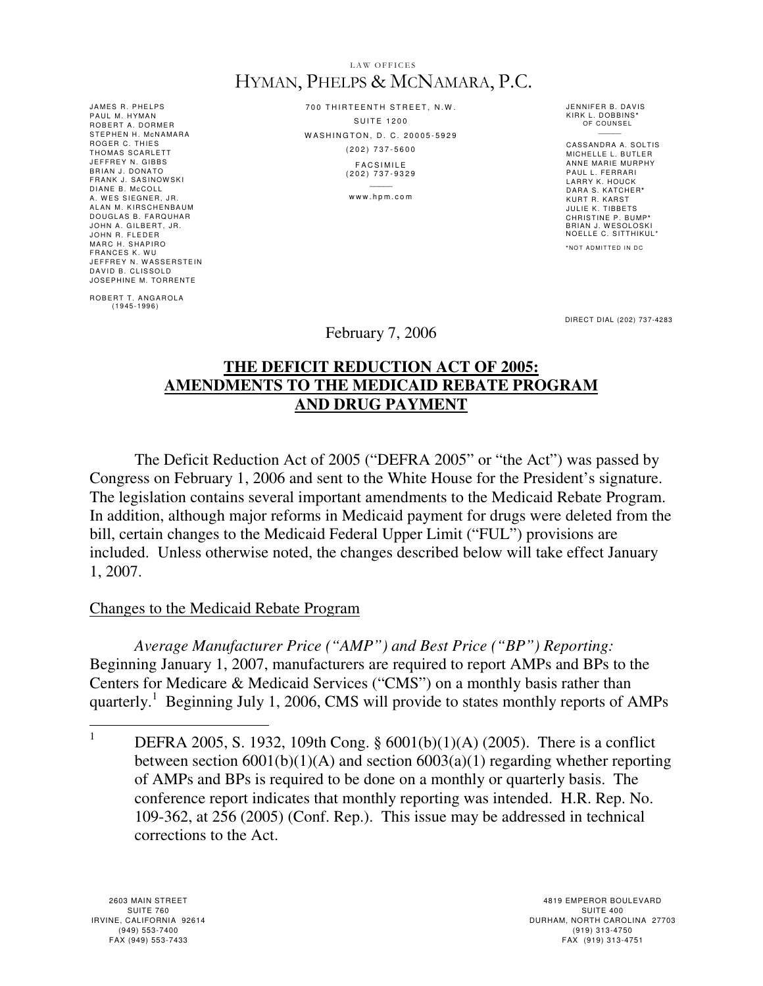#### LAW OFFICES HYMAN, PHELPS & MCNAMARA, P.C.

JAMES R. PHELPS PAUL M. HYMAN ROBERT A. DORMER STEPHEN H. MCNAMARA ROGER C. THIES<br>THOMAS SCARLETT JEFFREY N. GIBBS BRIAN J. DONATO FRANK J. SASINOWSKI<br>DIANE B. McCOLL A. WES SIEGNER, JR. ALAN M. KIRSCHENBAUM DOUGLAS B. FARQUHAR JOHN A. GILBERT, JR. JOHN R. FLEDER MARC H. SHAPIRO FRANCES K. WU JEFFREY N. WASSERSTEIN DAVID B. CLISSOLD JOSEPHINE M. TORRENTE

ROBERT T. ANGAROLA<br>(1945-1996)

700 THIRTEENTH STREET, N.W.  $S$  III T E 1200 WASHINGTON, D. C. 20005-5929 ( 2 0 2 ) 7 3 7 - 5 6 0 0 **FACSIMILE** 

( 2 0 2 ) 7 3 7 - 9 3 2 9  $\sim$ 

www.hpm.com

JENNIFER B. DAVIS KIRK L . DOBBINS**\*** OF COUNSEL  $\overline{\phantom{a}}$ 

CASSANDRA A. SOLTIS MICHELLE L. BUTLER ANNE MARIE MURPHY PAUL L. FERRARI<br>LARRY K. HOUCK DARA S. KATCHER**\*** KURT R. KARST **JULIE K. TIBBETS** CHRISTINE P. BUMP**\***  BRIAN J. WESOLOSKI<br>NOELLE C. SITTHIKUL\*

**\*** NO T A D MI T T E D I N D C

DIRECT DIAL (202) 737-4283

# February 7, 2006

## **THE DEFICIT REDUCTION ACT OF 2005: AMENDMENTS TO THE MEDICAID REBATE PROGRAM AND DRUG PAYMENT**

The Deficit Reduction Act of 2005 ("DEFRA 2005" or "the Act") was passed by Congress on February 1, 2006 and sent to the White House for the President's signature. The legislation contains several important amendments to the Medicaid Rebate Program. In addition, although major reforms in Medicaid payment for drugs were deleted from the bill, certain changes to the Medicaid Federal Upper Limit ("FUL") provisions are included. Unless otherwise noted, the changes described below will take effect January 1, 2007.

### Changes to the Medicaid Rebate Program

 *Average Manufacturer Price ("AMP") and Best Price ("BP") Reporting:* Beginning January 1, 2007, manufacturers are required to report AMPs and BPs to the Centers for Medicare & Medicaid Services ("CMS") on a monthly basis rather than quarterly.<sup>1</sup> Beginning July 1, 2006, CMS will provide to states monthly reports of AMPs

 $\frac{1}{1}$  DEFRA 2005, S. 1932, 109th Cong. § 6001(b)(1)(A) (2005). There is a conflict between section  $6001(b)(1)(A)$  and section  $6003(a)(1)$  regarding whether reporting of AMPs and BPs is required to be done on a monthly or quarterly basis. The conference report indicates that monthly reporting was intended. H.R. Rep. No. 109-362, at 256 (2005) (Conf. Rep.). This issue may be addressed in technical corrections to the Act.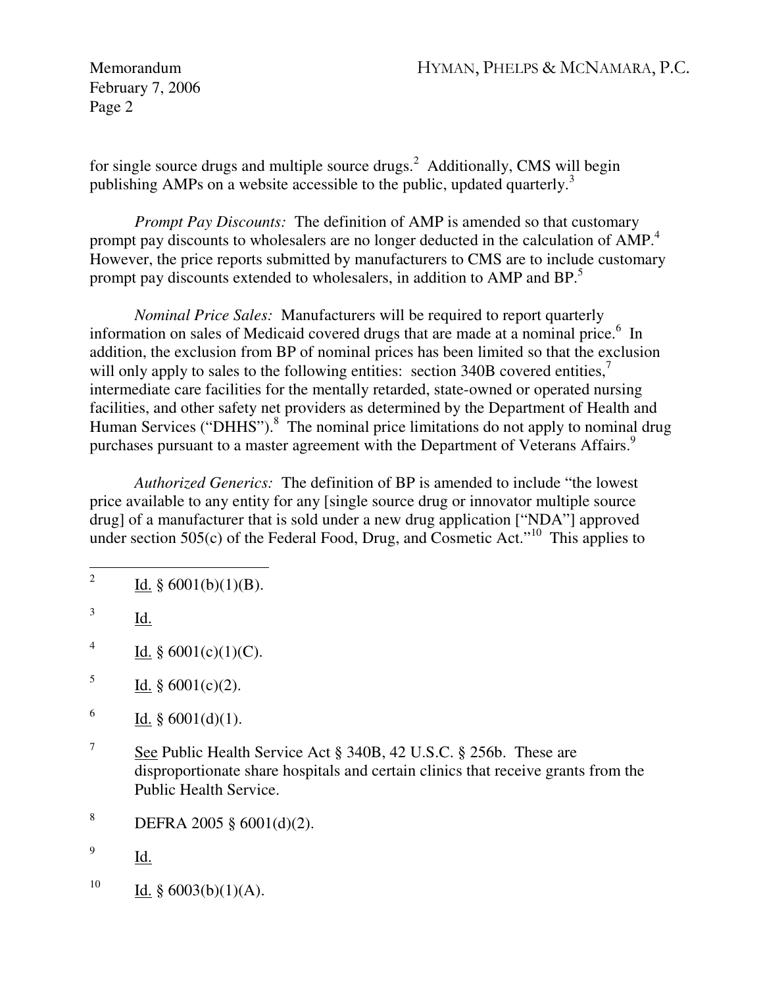Memorandum HYMAN, PHELPS & MCNAMARA, P.C.

February 7, 2006 Page 2

for single source drugs and multiple source drugs.<sup>2</sup> Additionally, CMS will begin publishing AMPs on a website accessible to the public, updated quarterly.<sup>3</sup>

 *Prompt Pay Discounts:* The definition of AMP is amended so that customary prompt pay discounts to wholesalers are no longer deducted in the calculation of AMP.<sup>4</sup> However, the price reports submitted by manufacturers to CMS are to include customary prompt pay discounts extended to wholesalers, in addition to AMP and BP.<sup>5</sup>

 *Nominal Price Sales:* Manufacturers will be required to report quarterly information on sales of Medicaid covered drugs that are made at a nominal price.<sup>6</sup> In addition, the exclusion from BP of nominal prices has been limited so that the exclusion will only apply to sales to the following entities: section 340B covered entities, $\overline{7}$ intermediate care facilities for the mentally retarded, state-owned or operated nursing facilities, and other safety net providers as determined by the Department of Health and Human Services ("DHHS").<sup>8</sup> The nominal price limitations do not apply to nominal drug purchases pursuant to a master agreement with the Department of Veterans Affairs.<sup>9</sup>

 *Authorized Generics:* The definition of BP is amended to include "the lowest price available to any entity for any [single source drug or innovator multiple source drug] of a manufacturer that is sold under a new drug application ["NDA"] approved under section  $505(c)$  of the Federal Food, Drug, and Cosmetic Act.<sup> $10$ </sup> This applies to

- 4 Id.  $§ 6001(c)(1)(C)$ .
- 5 Id. § 6001(c)(2).
- 6 Id.  $§ 6001(d)(1)$ .
- 7 See Public Health Service Act § 340B, 42 U.S.C. § 256b. These are disproportionate share hospitals and certain clinics that receive grants from the Public Health Service.
- 8 DEFRA 2005 § 6001(d)(2).
- 9 Id.
- <sup>10</sup> Id. § 6003(b)(1)(A).

 $\frac{1}{2}$ Id.  $§ 6001(b)(1)(B)$ .

<sup>3</sup> Id.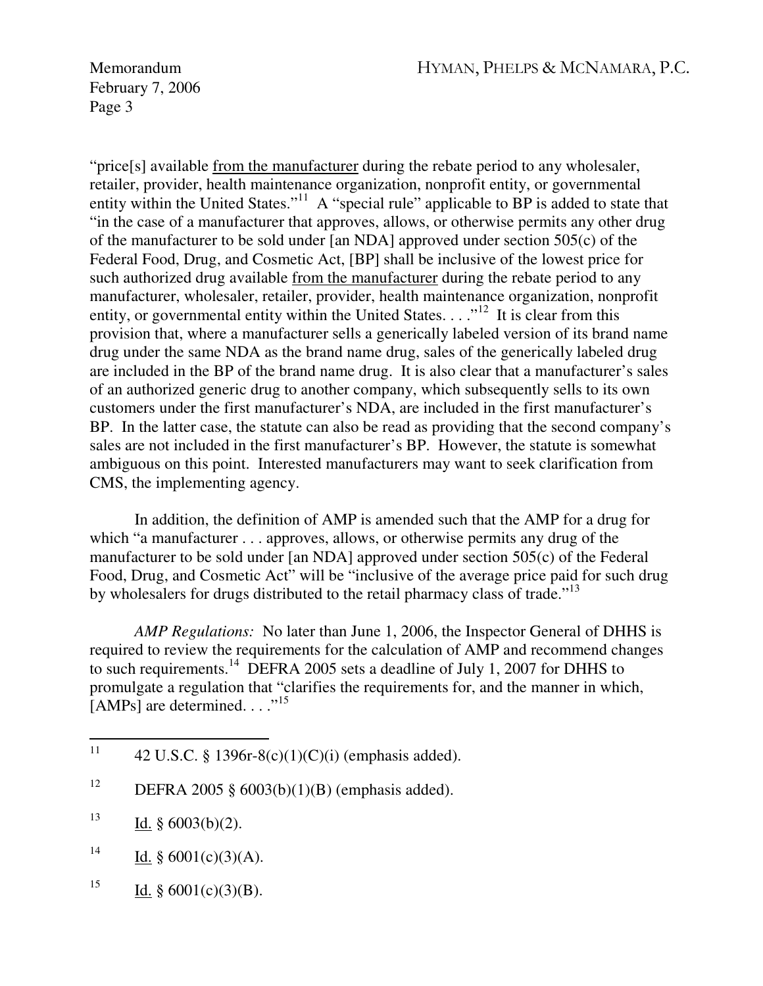Memorandum HYMAN, PHELPS & MCNAMARA, P.C.

February 7, 2006 Page 3

"price[s] available from the manufacturer during the rebate period to any wholesaler, retailer, provider, health maintenance organization, nonprofit entity, or governmental entity within the United States."<sup>11</sup> A "special rule" applicable to  $BP$  is added to state that "in the case of a manufacturer that approves, allows, or otherwise permits any other drug of the manufacturer to be sold under [an NDA] approved under section 505(c) of the Federal Food, Drug, and Cosmetic Act, [BP] shall be inclusive of the lowest price for such authorized drug available from the manufacturer during the rebate period to any manufacturer, wholesaler, retailer, provider, health maintenance organization, nonprofit entity, or governmental entity within the United States.  $\ldots$ <sup>12</sup> It is clear from this provision that, where a manufacturer sells a generically labeled version of its brand name drug under the same NDA as the brand name drug, sales of the generically labeled drug are included in the BP of the brand name drug. It is also clear that a manufacturer's sales of an authorized generic drug to another company, which subsequently sells to its own customers under the first manufacturer's NDA, are included in the first manufacturer's BP. In the latter case, the statute can also be read as providing that the second company's sales are not included in the first manufacturer's BP. However, the statute is somewhat ambiguous on this point. Interested manufacturers may want to seek clarification from CMS, the implementing agency.

In addition, the definition of AMP is amended such that the AMP for a drug for which "a manufacturer . . . approves, allows, or otherwise permits any drug of the manufacturer to be sold under [an NDA] approved under section 505(c) of the Federal Food, Drug, and Cosmetic Act" will be "inclusive of the average price paid for such drug by wholesalers for drugs distributed to the retail pharmacy class of trade."<sup>13</sup>

 *AMP Regulations:* No later than June 1, 2006, the Inspector General of DHHS is required to review the requirements for the calculation of AMP and recommend changes to such requirements.<sup>14</sup> DEFRA 2005 sets a deadline of July 1, 2007 for DHHS to promulgate a regulation that "clarifies the requirements for, and the manner in which, [AMPs] are determined.  $\ldots$ <sup>15</sup>

- <sup>12</sup> DEFRA 2005 § 6003(b)(1)(B) (emphasis added).
- <sup>13</sup> Id. §  $6003(b)(2)$ .
- <sup>14</sup> Id. § 6001(c)(3)(A).
- <sup>15</sup> Id. § 6001(c)(3)(B).

<sup>11</sup> 42 U.S.C. § 1396r-8(c)(1)(C)(i) (emphasis added).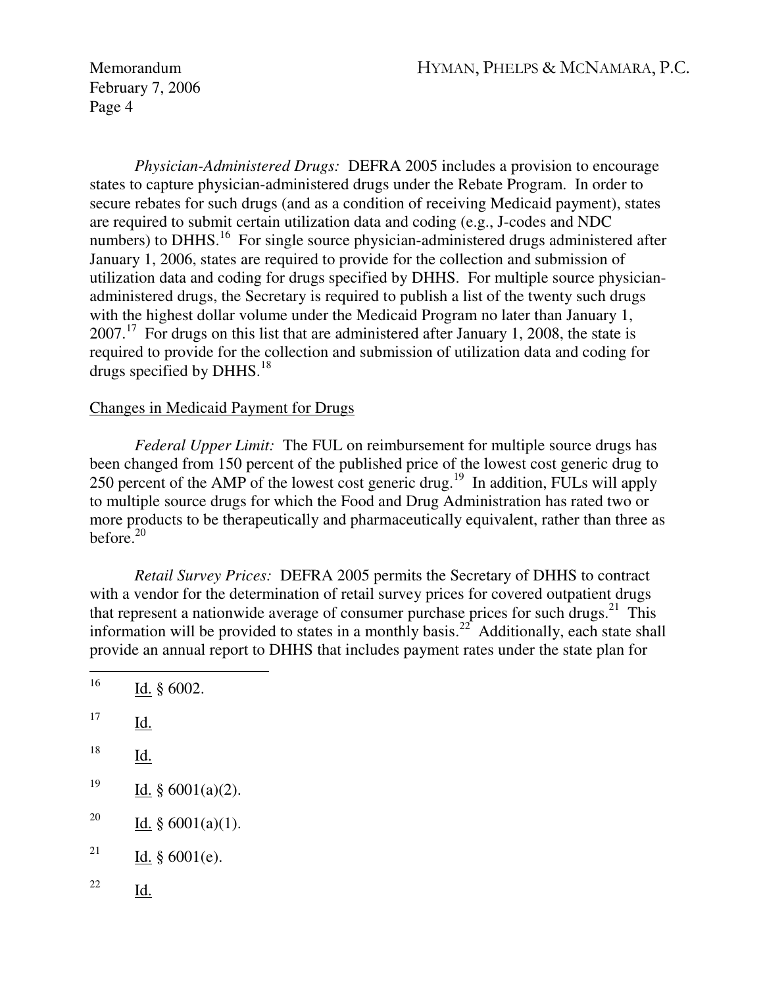February 7, 2006 Page 4

 *Physician-Administered Drugs:* DEFRA 2005 includes a provision to encourage states to capture physician-administered drugs under the Rebate Program. In order to secure rebates for such drugs (and as a condition of receiving Medicaid payment), states are required to submit certain utilization data and coding (e.g., J-codes and NDC numbers) to DHHS.<sup>16</sup> For single source physician-administered drugs administered after January 1, 2006, states are required to provide for the collection and submission of utilization data and coding for drugs specified by DHHS. For multiple source physicianadministered drugs, the Secretary is required to publish a list of the twenty such drugs with the highest dollar volume under the Medicaid Program no later than January 1,  $2007<sup>17</sup>$  For drugs on this list that are administered after January 1, 2008, the state is required to provide for the collection and submission of utilization data and coding for drugs specified by DHHS. $^{18}$ 

## Changes in Medicaid Payment for Drugs

 *Federal Upper Limit:* The FUL on reimbursement for multiple source drugs has been changed from 150 percent of the published price of the lowest cost generic drug to 250 percent of the AMP of the lowest cost generic drug.<sup>19</sup> In addition, FULs will apply to multiple source drugs for which the Food and Drug Administration has rated two or more products to be therapeutically and pharmaceutically equivalent, rather than three as before. $20$ 

 *Retail Survey Prices:* DEFRA 2005 permits the Secretary of DHHS to contract with a vendor for the determination of retail survey prices for covered outpatient drugs that represent a nationwide average of consumer purchase prices for such drugs.<sup>21</sup> This information will be provided to states in a monthly basis.<sup>22</sup> Additionally, each state shall provide an annual report to DHHS that includes payment rates under the state plan for

| 16 | Id. § 6002.          |
|----|----------------------|
| 17 | Id.                  |
| 18 | Id.                  |
| 19 | Id. $§ 6001(a)(2)$ . |
| 20 | Id. $§ 6001(a)(1)$ . |
| 21 | Id. $§ 6001(e)$ .    |
| 22 | Id.                  |